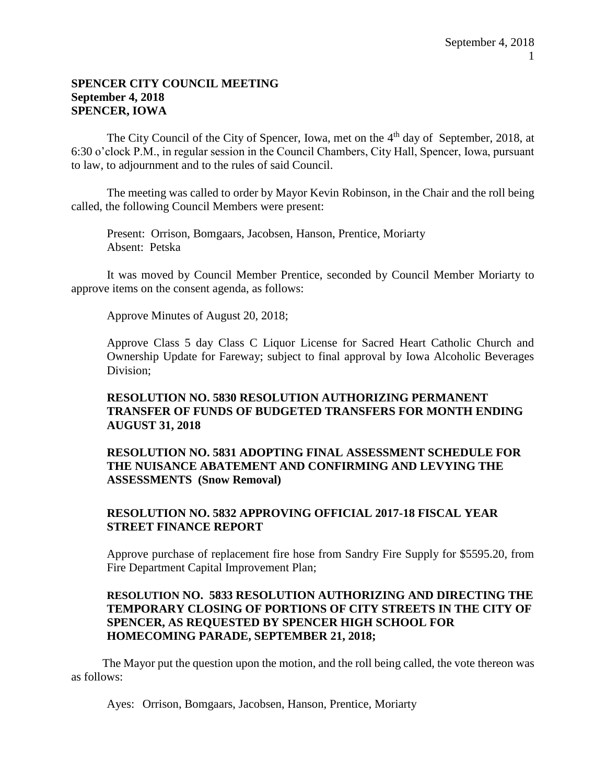#### **SPENCER CITY COUNCIL MEETING September 4, 2018 SPENCER, IOWA**

The City Council of the City of Spencer, Iowa, met on the 4<sup>th</sup> day of September, 2018, at 6:30 o'clock P.M., in regular session in the Council Chambers, City Hall, Spencer, Iowa, pursuant to law, to adjournment and to the rules of said Council.

The meeting was called to order by Mayor Kevin Robinson, in the Chair and the roll being called, the following Council Members were present:

Present: Orrison, Bomgaars, Jacobsen, Hanson, Prentice, Moriarty Absent: Petska

It was moved by Council Member Prentice, seconded by Council Member Moriarty to approve items on the consent agenda, as follows:

Approve Minutes of August 20, 2018;

Approve Class 5 day Class C Liquor License for Sacred Heart Catholic Church and Ownership Update for Fareway; subject to final approval by Iowa Alcoholic Beverages Division;

## **RESOLUTION NO. 5830 RESOLUTION AUTHORIZING PERMANENT TRANSFER OF FUNDS OF BUDGETED TRANSFERS FOR MONTH ENDING AUGUST 31, 2018**

# **RESOLUTION NO. 5831 ADOPTING FINAL ASSESSMENT SCHEDULE FOR THE NUISANCE ABATEMENT AND CONFIRMING AND LEVYING THE ASSESSMENTS (Snow Removal)**

# **RESOLUTION NO. 5832 APPROVING OFFICIAL 2017-18 FISCAL YEAR STREET FINANCE REPORT**

Approve purchase of replacement fire hose from Sandry Fire Supply for \$5595.20, from Fire Department Capital Improvement Plan;

## **RESOLUTION NO. 5833 RESOLUTION AUTHORIZING AND DIRECTING THE TEMPORARY CLOSING OF PORTIONS OF CITY STREETS IN THE CITY OF SPENCER, AS REQUESTED BY SPENCER HIGH SCHOOL FOR HOMECOMING PARADE, SEPTEMBER 21, 2018;**

The Mayor put the question upon the motion, and the roll being called, the vote thereon was as follows:

Ayes: Orrison, Bomgaars, Jacobsen, Hanson, Prentice, Moriarty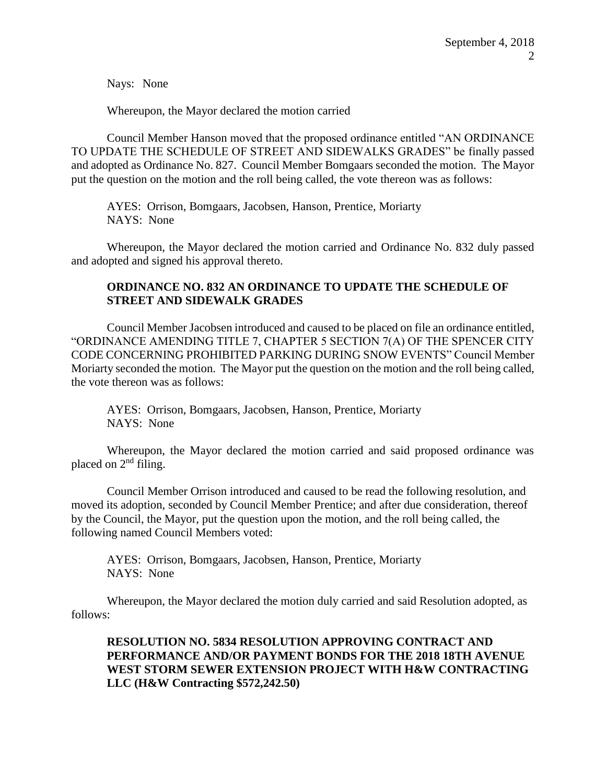Nays: None

Whereupon, the Mayor declared the motion carried

Council Member Hanson moved that the proposed ordinance entitled "AN ORDINANCE TO UPDATE THE SCHEDULE OF STREET AND SIDEWALKS GRADES" be finally passed and adopted as Ordinance No. 827. Council Member Bomgaars seconded the motion. The Mayor put the question on the motion and the roll being called, the vote thereon was as follows:

AYES: Orrison, Bomgaars, Jacobsen, Hanson, Prentice, Moriarty NAYS: None

Whereupon, the Mayor declared the motion carried and Ordinance No. 832 duly passed and adopted and signed his approval thereto.

# **ORDINANCE NO. 832 AN ORDINANCE TO UPDATE THE SCHEDULE OF STREET AND SIDEWALK GRADES**

Council Member Jacobsen introduced and caused to be placed on file an ordinance entitled, "ORDINANCE AMENDING TITLE 7, CHAPTER 5 SECTION 7(A) OF THE SPENCER CITY CODE CONCERNING PROHIBITED PARKING DURING SNOW EVENTS" Council Member Moriarty seconded the motion. The Mayor put the question on the motion and the roll being called, the vote thereon was as follows:

AYES: Orrison, Bomgaars, Jacobsen, Hanson, Prentice, Moriarty NAYS: None

Whereupon, the Mayor declared the motion carried and said proposed ordinance was placed on 2<sup>nd</sup> filing.

Council Member Orrison introduced and caused to be read the following resolution, and moved its adoption, seconded by Council Member Prentice; and after due consideration, thereof by the Council, the Mayor, put the question upon the motion, and the roll being called, the following named Council Members voted:

AYES: Orrison, Bomgaars, Jacobsen, Hanson, Prentice, Moriarty NAYS: None

Whereupon, the Mayor declared the motion duly carried and said Resolution adopted, as follows:

# **RESOLUTION NO. 5834 RESOLUTION APPROVING CONTRACT AND PERFORMANCE AND/OR PAYMENT BONDS FOR THE 2018 18TH AVENUE WEST STORM SEWER EXTENSION PROJECT WITH H&W CONTRACTING LLC (H&W Contracting \$572,242.50)**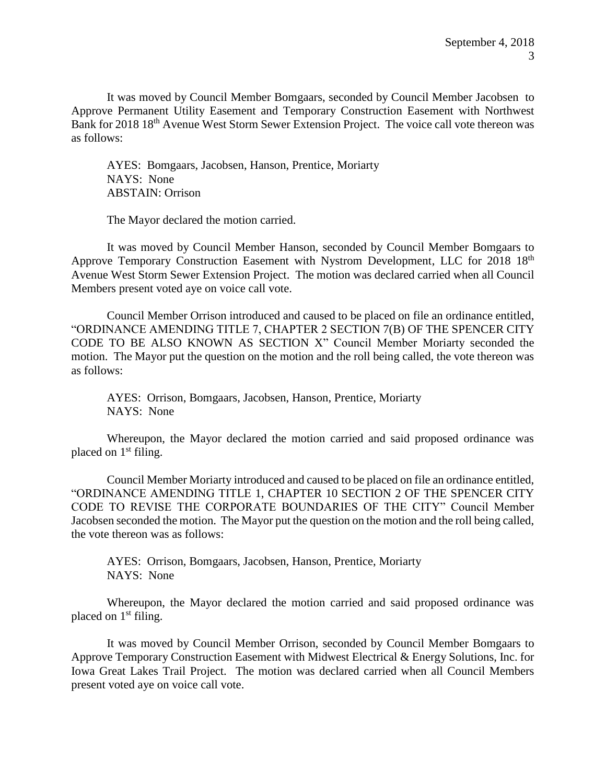It was moved by Council Member Bomgaars, seconded by Council Member Jacobsen to Approve Permanent Utility Easement and Temporary Construction Easement with Northwest Bank for 2018 18<sup>th</sup> Avenue West Storm Sewer Extension Project. The voice call vote thereon was as follows:

AYES: Bomgaars, Jacobsen, Hanson, Prentice, Moriarty NAYS: None ABSTAIN: Orrison

The Mayor declared the motion carried.

It was moved by Council Member Hanson, seconded by Council Member Bomgaars to Approve Temporary Construction Easement with Nystrom Development, LLC for 2018 18th Avenue West Storm Sewer Extension Project. The motion was declared carried when all Council Members present voted aye on voice call vote.

Council Member Orrison introduced and caused to be placed on file an ordinance entitled, "ORDINANCE AMENDING TITLE 7, CHAPTER 2 SECTION 7(B) OF THE SPENCER CITY CODE TO BE ALSO KNOWN AS SECTION X" Council Member Moriarty seconded the motion. The Mayor put the question on the motion and the roll being called, the vote thereon was as follows:

AYES: Orrison, Bomgaars, Jacobsen, Hanson, Prentice, Moriarty NAYS: None

Whereupon, the Mayor declared the motion carried and said proposed ordinance was placed on 1<sup>st</sup> filing.

Council Member Moriarty introduced and caused to be placed on file an ordinance entitled, "ORDINANCE AMENDING TITLE 1, CHAPTER 10 SECTION 2 OF THE SPENCER CITY CODE TO REVISE THE CORPORATE BOUNDARIES OF THE CITY" Council Member Jacobsen seconded the motion. The Mayor put the question on the motion and the roll being called, the vote thereon was as follows:

AYES: Orrison, Bomgaars, Jacobsen, Hanson, Prentice, Moriarty NAYS: None

Whereupon, the Mayor declared the motion carried and said proposed ordinance was placed on 1<sup>st</sup> filing.

It was moved by Council Member Orrison, seconded by Council Member Bomgaars to Approve Temporary Construction Easement with Midwest Electrical & Energy Solutions, Inc. for Iowa Great Lakes Trail Project. The motion was declared carried when all Council Members present voted aye on voice call vote.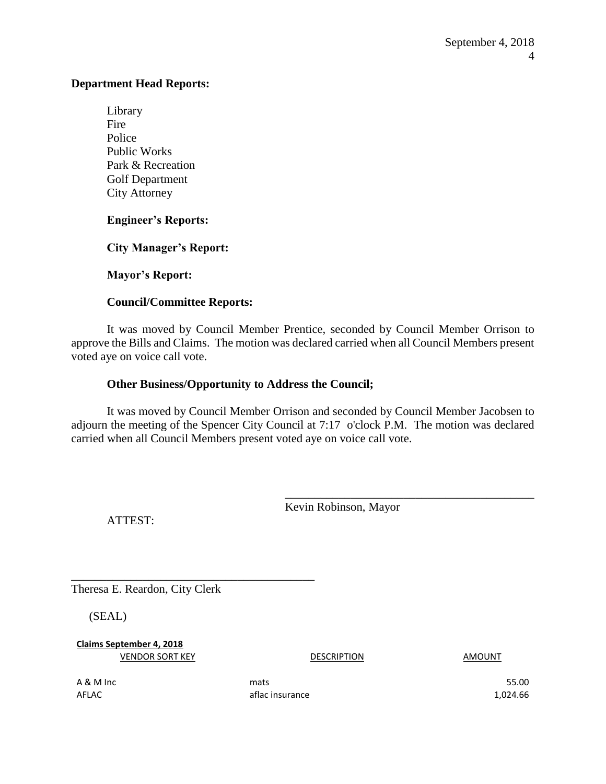#### **Department Head Reports:**

Library Fire Police Public Works Park & Recreation Golf Department City Attorney

## **Engineer's Reports:**

**City Manager's Report:** 

**Mayor's Report:** 

#### **Council/Committee Reports:**

It was moved by Council Member Prentice, seconded by Council Member Orrison to approve the Bills and Claims. The motion was declared carried when all Council Members present voted aye on voice call vote.

## **Other Business/Opportunity to Address the Council;**

It was moved by Council Member Orrison and seconded by Council Member Jacobsen to adjourn the meeting of the Spencer City Council at 7:17 o'clock P.M. The motion was declared carried when all Council Members present voted aye on voice call vote.

Kevin Robinson, Mayor

\_\_\_\_\_\_\_\_\_\_\_\_\_\_\_\_\_\_\_\_\_\_\_\_\_\_\_\_\_\_\_\_\_\_\_\_\_\_\_\_\_\_

ATTEST:

Theresa E. Reardon, City Clerk

\_\_\_\_\_\_\_\_\_\_\_\_\_\_\_\_\_\_\_\_\_\_\_\_\_\_\_\_\_\_\_\_\_\_\_\_\_\_\_\_\_

(SEAL)

**Claims September 4, 2018** VENDOR SORT KEY DESCRIPTION DESCRIPTION AMOUNT

 $\overline{A}$  & M Inc  $\overline{A}$  and  $\overline{A}$  and  $\overline{A}$  mats  $\overline{A}$  and  $\overline{A}$  and  $\overline{A}$  and  $\overline{A}$  and  $\overline{A}$  and  $\overline{A}$  and  $\overline{A}$  and  $\overline{A}$  and  $\overline{A}$  and  $\overline{A}$  and  $\overline{A}$  and  $\overline{A}$  and  $\overline{A}$ AFLAC 1,024.66 aflac insurance and the state of the 1,024.66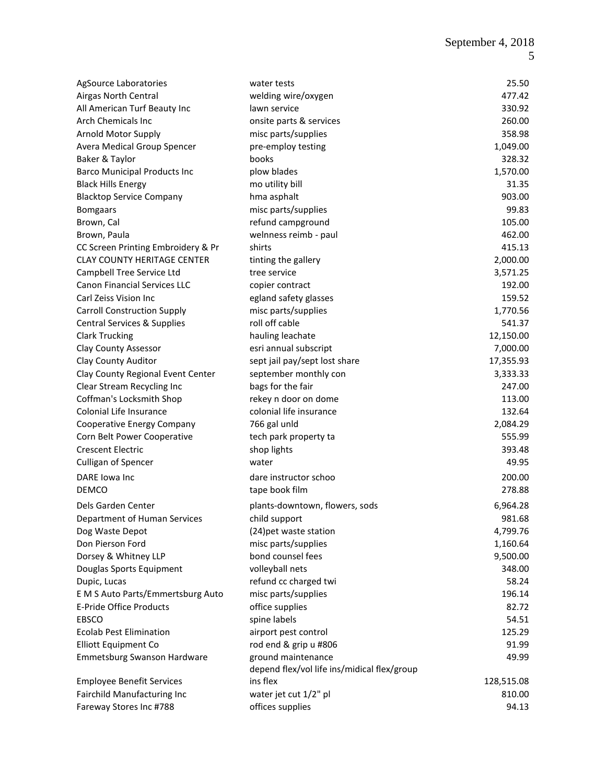| AgSource Laboratories                  | water tests                                 | 25.50      |
|----------------------------------------|---------------------------------------------|------------|
| Airgas North Central                   | welding wire/oxygen                         | 477.42     |
| All American Turf Beauty Inc           | lawn service                                | 330.92     |
| <b>Arch Chemicals Inc.</b>             | onsite parts & services                     | 260.00     |
| Arnold Motor Supply                    | misc parts/supplies                         | 358.98     |
| Avera Medical Group Spencer            | pre-employ testing                          | 1,049.00   |
| Baker & Taylor                         | books                                       | 328.32     |
| <b>Barco Municipal Products Inc</b>    | plow blades                                 | 1,570.00   |
| <b>Black Hills Energy</b>              | mo utility bill                             | 31.35      |
| <b>Blacktop Service Company</b>        | hma asphalt                                 | 903.00     |
|                                        | misc parts/supplies                         | 99.83      |
| <b>Bomgaars</b>                        |                                             | 105.00     |
| Brown, Cal                             | refund campground                           | 462.00     |
| Brown, Paula                           | welnness reimb - paul                       |            |
| CC Screen Printing Embroidery & Pr     | shirts                                      | 415.13     |
| <b>CLAY COUNTY HERITAGE CENTER</b>     | tinting the gallery                         | 2,000.00   |
| Campbell Tree Service Ltd              | tree service                                | 3,571.25   |
| <b>Canon Financial Services LLC</b>    | copier contract                             | 192.00     |
| Carl Zeiss Vision Inc                  | egland safety glasses                       | 159.52     |
| <b>Carroll Construction Supply</b>     | misc parts/supplies                         | 1,770.56   |
| <b>Central Services &amp; Supplies</b> | roll off cable                              | 541.37     |
| <b>Clark Trucking</b>                  | hauling leachate                            | 12,150.00  |
| <b>Clay County Assessor</b>            | esri annual subscript                       | 7,000.00   |
| Clay County Auditor                    | sept jail pay/sept lost share               | 17,355.93  |
| Clay County Regional Event Center      | september monthly con                       | 3,333.33   |
| Clear Stream Recycling Inc             | bags for the fair                           | 247.00     |
| Coffman's Locksmith Shop               | rekey n door on dome                        | 113.00     |
| Colonial Life Insurance                | colonial life insurance                     | 132.64     |
| Cooperative Energy Company             | 766 gal unld                                | 2,084.29   |
| Corn Belt Power Cooperative            | tech park property ta                       | 555.99     |
| <b>Crescent Electric</b>               | shop lights                                 | 393.48     |
| Culligan of Spencer                    | water                                       | 49.95      |
| DARE Iowa Inc                          | dare instructor schoo                       | 200.00     |
| <b>DEMCO</b>                           | tape book film                              | 278.88     |
| Dels Garden Center                     | plants-downtown, flowers, sods              | 6,964.28   |
| Department of Human Services           | child support                               | 981.68     |
| Dog Waste Depot                        | (24) pet waste station                      | 4,799.76   |
| Don Pierson Ford                       | misc parts/supplies                         | 1,160.64   |
| Dorsey & Whitney LLP                   | bond counsel fees                           | 9,500.00   |
| Douglas Sports Equipment               | volleyball nets                             | 348.00     |
| Dupic, Lucas                           | refund cc charged twi                       | 58.24      |
| E M S Auto Parts/Emmertsburg Auto      | misc parts/supplies                         | 196.14     |
| <b>E-Pride Office Products</b>         | office supplies                             | 82.72      |
| EBSCO                                  | spine labels                                | 54.51      |
| <b>Ecolab Pest Elimination</b>         | airport pest control                        | 125.29     |
| <b>Elliott Equipment Co</b>            | rod end & grip u #806                       | 91.99      |
|                                        | ground maintenance                          |            |
| Emmetsburg Swanson Hardware            | depend flex/vol life ins/midical flex/group | 49.99      |
| <b>Employee Benefit Services</b>       | ins flex                                    | 128,515.08 |
| Fairchild Manufacturing Inc            | water jet cut 1/2" pl                       | 810.00     |
|                                        |                                             |            |
| Fareway Stores Inc #788                | offices supplies                            | 94.13      |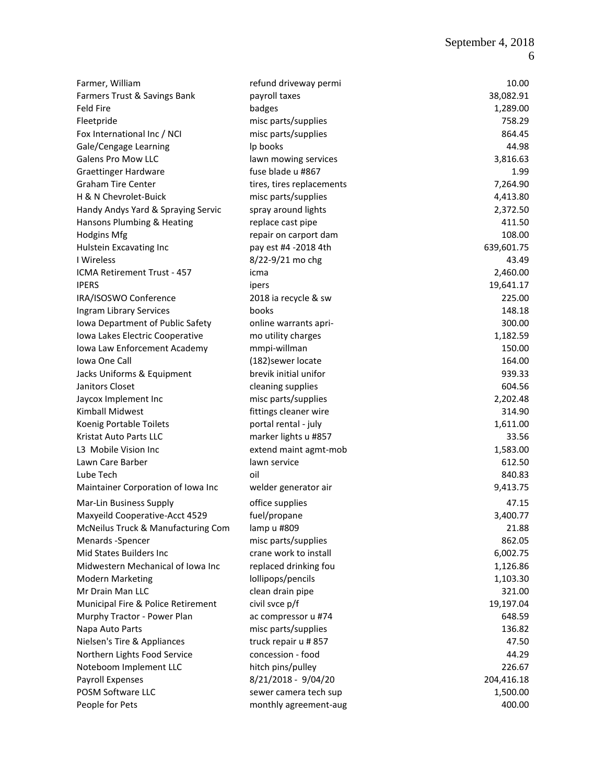|                                                             |                                             | 10.00      |
|-------------------------------------------------------------|---------------------------------------------|------------|
| Farmer, William                                             | refund driveway permi                       | 38,082.91  |
| Farmers Trust & Savings Bank<br><b>Feld Fire</b>            | payroll taxes                               | 1,289.00   |
|                                                             | badges                                      | 758.29     |
| Fleetpride<br>Fox International Inc / NCI                   | misc parts/supplies<br>misc parts/supplies  | 864.45     |
| Gale/Cengage Learning                                       | Ip books                                    | 44.98      |
| Galens Pro Mow LLC                                          | lawn mowing services                        | 3,816.63   |
| <b>Graettinger Hardware</b>                                 | fuse blade u #867                           | 1.99       |
| <b>Graham Tire Center</b>                                   | tires, tires replacements                   | 7,264.90   |
| H & N Chevrolet-Buick                                       | misc parts/supplies                         | 4,413.80   |
| Handy Andys Yard & Spraying Servic                          | spray around lights                         | 2,372.50   |
| Hansons Plumbing & Heating                                  | replace cast pipe                           | 411.50     |
| <b>Hodgins Mfg</b>                                          | repair on carport dam                       | 108.00     |
| Hulstein Excavating Inc                                     | pay est #4 -2018 4th                        | 639,601.75 |
| I Wireless                                                  | 8/22-9/21 mo chg                            | 43.49      |
| ICMA Retirement Trust - 457                                 | icma                                        | 2,460.00   |
| <b>IPERS</b>                                                |                                             | 19,641.17  |
| IRA/ISOSWO Conference                                       | ipers<br>2018 ia recycle & sw               | 225.00     |
|                                                             | books                                       | 148.18     |
| Ingram Library Services<br>Iowa Department of Public Safety |                                             | 300.00     |
| Iowa Lakes Electric Cooperative                             | online warrants apri-<br>mo utility charges | 1,182.59   |
| Iowa Law Enforcement Academy                                | mmpi-willman                                | 150.00     |
| Iowa One Call                                               | (182) sewer locate                          | 164.00     |
| Jacks Uniforms & Equipment                                  | brevik initial unifor                       | 939.33     |
| Janitors Closet                                             | cleaning supplies                           | 604.56     |
| Jaycox Implement Inc                                        | misc parts/supplies                         | 2,202.48   |
| Kimball Midwest                                             | fittings cleaner wire                       | 314.90     |
| Koenig Portable Toilets                                     | portal rental - july                        | 1,611.00   |
| Kristat Auto Parts LLC                                      | marker lights u #857                        | 33.56      |
| L3 Mobile Vision Inc                                        | extend maint agmt-mob                       | 1,583.00   |
| Lawn Care Barber                                            | lawn service                                | 612.50     |
| Lube Tech                                                   | oil                                         | 840.83     |
| Maintainer Corporation of Iowa Inc                          |                                             | 9,413.75   |
|                                                             | welder generator air                        |            |
| Mar-Lin Business Supply                                     | office supplies                             | 47.15      |
| Maxyeild Cooperative-Acct 4529                              | fuel/propane                                | 3,400.77   |
| McNeilus Truck & Manufacturing Com                          | lamp u #809                                 | 21.88      |
| Menards -Spencer                                            | misc parts/supplies                         | 862.05     |
| Mid States Builders Inc                                     | crane work to install                       | 6,002.75   |
| Midwestern Mechanical of Iowa Inc                           | replaced drinking fou                       | 1,126.86   |
| <b>Modern Marketing</b>                                     | lollipops/pencils                           | 1,103.30   |
| Mr Drain Man LLC                                            | clean drain pipe                            | 321.00     |
| Municipal Fire & Police Retirement                          | civil svce p/f                              | 19,197.04  |
| Murphy Tractor - Power Plan                                 | ac compressor u #74                         | 648.59     |
| Napa Auto Parts                                             | misc parts/supplies                         | 136.82     |
| Nielsen's Tire & Appliances                                 | truck repair u #857                         | 47.50      |
| Northern Lights Food Service                                | concession - food                           | 44.29      |
| Noteboom Implement LLC                                      | hitch pins/pulley                           | 226.67     |
| Payroll Expenses                                            | 8/21/2018 - 9/04/20                         | 204,416.18 |
| POSM Software LLC                                           | sewer camera tech sup                       | 1,500.00   |
| People for Pets                                             | monthly agreement-aug                       | 400.00     |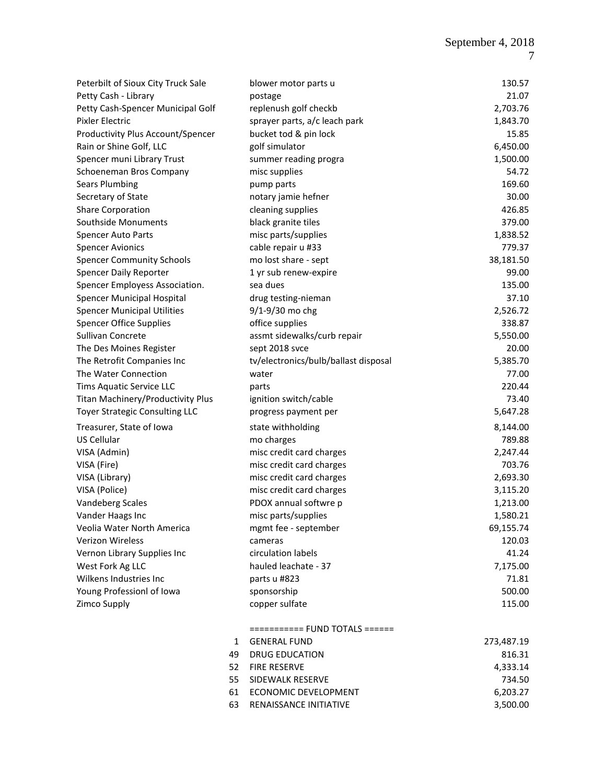| Peterbilt of Sioux City Truck Sale    |              | blower motor parts u                 | 130.57     |
|---------------------------------------|--------------|--------------------------------------|------------|
| Petty Cash - Library                  |              | postage                              | 21.07      |
| Petty Cash-Spencer Municipal Golf     |              | replenush golf checkb                | 2,703.76   |
| Pixler Electric                       |              | sprayer parts, a/c leach park        | 1,843.70   |
| Productivity Plus Account/Spencer     |              | bucket tod & pin lock                | 15.85      |
| Rain or Shine Golf, LLC               |              | golf simulator                       | 6,450.00   |
| Spencer muni Library Trust            |              | summer reading progra                | 1,500.00   |
| Schoeneman Bros Company               |              | misc supplies                        | 54.72      |
| <b>Sears Plumbing</b>                 |              | pump parts                           | 169.60     |
| Secretary of State                    |              | notary jamie hefner                  | 30.00      |
| <b>Share Corporation</b>              |              | cleaning supplies                    | 426.85     |
| Southside Monuments                   |              | black granite tiles                  | 379.00     |
| Spencer Auto Parts                    |              | misc parts/supplies                  | 1,838.52   |
| <b>Spencer Avionics</b>               |              | cable repair u #33                   | 779.37     |
| <b>Spencer Community Schools</b>      |              | mo lost share - sept                 | 38,181.50  |
| Spencer Daily Reporter                |              | 1 yr sub renew-expire                | 99.00      |
| Spencer Employess Association.        |              | sea dues                             | 135.00     |
| Spencer Municipal Hospital            |              | drug testing-nieman                  | 37.10      |
| <b>Spencer Municipal Utilities</b>    |              | 9/1-9/30 mo chg                      | 2,526.72   |
| <b>Spencer Office Supplies</b>        |              | office supplies                      | 338.87     |
| Sullivan Concrete                     |              | assmt sidewalks/curb repair          | 5,550.00   |
| The Des Moines Register               |              | sept 2018 svce                       | 20.00      |
| The Retrofit Companies Inc            |              | tv/electronics/bulb/ballast disposal | 5,385.70   |
| The Water Connection                  |              | water                                | 77.00      |
| Tims Aquatic Service LLC              |              | parts                                | 220.44     |
| Titan Machinery/Productivity Plus     |              | ignition switch/cable                | 73.40      |
| <b>Toyer Strategic Consulting LLC</b> |              | progress payment per                 | 5,647.28   |
|                                       |              |                                      |            |
| Treasurer, State of Iowa              |              | state withholding                    | 8,144.00   |
| US Cellular                           |              | mo charges                           | 789.88     |
| VISA (Admin)                          |              | misc credit card charges             | 2,247.44   |
| VISA (Fire)                           |              | misc credit card charges             | 703.76     |
| VISA (Library)                        |              | misc credit card charges             | 2,693.30   |
| VISA (Police)                         |              | misc credit card charges             | 3,115.20   |
| <b>Vandeberg Scales</b>               |              | PDOX annual softwre p                | 1,213.00   |
| Vander Haags Inc                      |              | misc parts/supplies                  | 1,580.21   |
| Veolia Water North America            |              | mgmt fee - september                 | 69,155.74  |
| Verizon Wireless                      |              | cameras                              | 120.03     |
| Vernon Library Supplies Inc           |              | circulation labels                   | 41.24      |
| West Fork Ag LLC                      |              | hauled leachate - 37                 | 7,175.00   |
| Wilkens Industries Inc                |              | parts u #823                         | 71.81      |
| Young Professionl of Iowa             |              | sponsorship                          | 500.00     |
| Zimco Supply                          |              | copper sulfate                       | 115.00     |
|                                       |              | =========== FUND TOTALS ======       |            |
|                                       | $\mathbf{1}$ | <b>GENERAL FUND</b>                  | 273,487.19 |
|                                       | 49           | <b>DRUG EDUCATION</b>                | 816.31     |
|                                       | 52           | <b>FIRE RESERVE</b>                  | 4,333.14   |
|                                       | 55           | SIDEWALK RESERVE                     | 734.50     |
|                                       | 61           | ECONOMIC DEVELOPMENT                 | 6,203.27   |
|                                       | 63           | RENAISSANCE INITIATIVE               | 3,500.00   |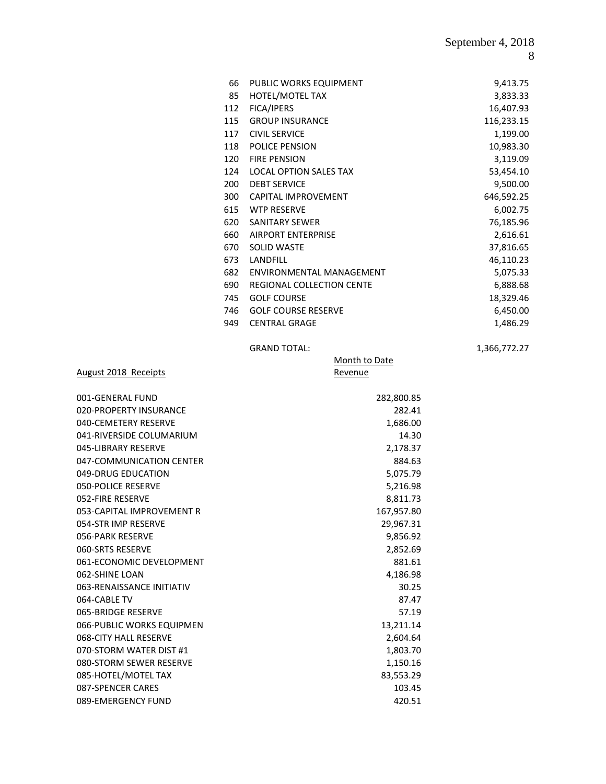| 66  | PUBLIC WORKS EQUIPMENT           | 9,413.75   |
|-----|----------------------------------|------------|
| 85  | HOTEL/MOTEL TAX                  | 3,833.33   |
| 112 | <b>FICA/IPERS</b>                | 16,407.93  |
| 115 | <b>GROUP INSURANCE</b>           | 116,233.15 |
| 117 | <b>CIVIL SERVICE</b>             | 1,199.00   |
| 118 | <b>POLICE PENSION</b>            | 10,983.30  |
| 120 | <b>FIRE PENSION</b>              | 3,119.09   |
| 124 | <b>LOCAL OPTION SALES TAX</b>    | 53,454.10  |
| 200 | <b>DEBT SERVICE</b>              | 9,500.00   |
| 300 | <b>CAPITAL IMPROVEMENT</b>       | 646,592.25 |
| 615 | <b>WTP RESERVE</b>               | 6,002.75   |
| 620 | <b>SANITARY SEWER</b>            | 76,185.96  |
| 660 | <b>AIRPORT ENTERPRISE</b>        | 2,616.61   |
| 670 | <b>SOLID WASTE</b>               | 37,816.65  |
| 673 | LANDFILL                         | 46,110.23  |
| 682 | ENVIRONMENTAL MANAGEMENT         | 5,075.33   |
| 690 | <b>REGIONAL COLLECTION CENTE</b> | 6,888.68   |
| 745 | <b>GOLF COURSE</b>               | 18,329.46  |
| 746 | <b>GOLF COURSE RESERVE</b>       | 6,450.00   |
| 949 | <b>CENTRAL GRAGE</b>             | 1,486.29   |

GRAND TOTAL: 1,366,772.27

August 2018 Receipts

#### Month to Date Revenue

| 001-GENERAL FUND          | 282,800.85 |
|---------------------------|------------|
| 020-PROPERTY INSURANCE    | 282.41     |
| 040-CEMETERY RESERVE      | 1,686.00   |
| 041-RIVERSIDE COLUMARIUM  | 14.30      |
| 045-LIBRARY RESERVE       | 2,178.37   |
| 047-COMMUNICATION CENTER  | 884.63     |
| 049-DRUG EDUCATION        | 5,075.79   |
| 050-POLICE RESERVE        | 5,216.98   |
| 052-FIRE RESERVE          | 8,811.73   |
| 053-CAPITAL IMPROVEMENT R | 167,957.80 |
| 054-STR IMP RESERVE       | 29,967.31  |
| 056-PARK RESERVE          | 9,856.92   |
| 060-SRTS RESERVE          | 2,852.69   |
| 061-ECONOMIC DEVELOPMENT  | 881.61     |
| 062-SHINE LOAN            | 4,186.98   |
| 063-RENAISSANCE INITIATIV | 30.25      |
| 064-CABLE TV              | 87.47      |
| 065-BRIDGE RESERVE        | 57.19      |
| 066-PUBLIC WORKS EQUIPMEN | 13,211.14  |
| 068-CITY HALL RESERVE     | 2,604.64   |
| 070-STORM WATER DIST #1   | 1.803.70   |
| 080-STORM SEWER RESERVE   | 1,150.16   |
| 085-HOTEL/MOTEL TAX       | 83,553.29  |
| 087-SPENCER CARES         | 103.45     |
| 089-EMERGENCY FUND        | 420.51     |
|                           |            |